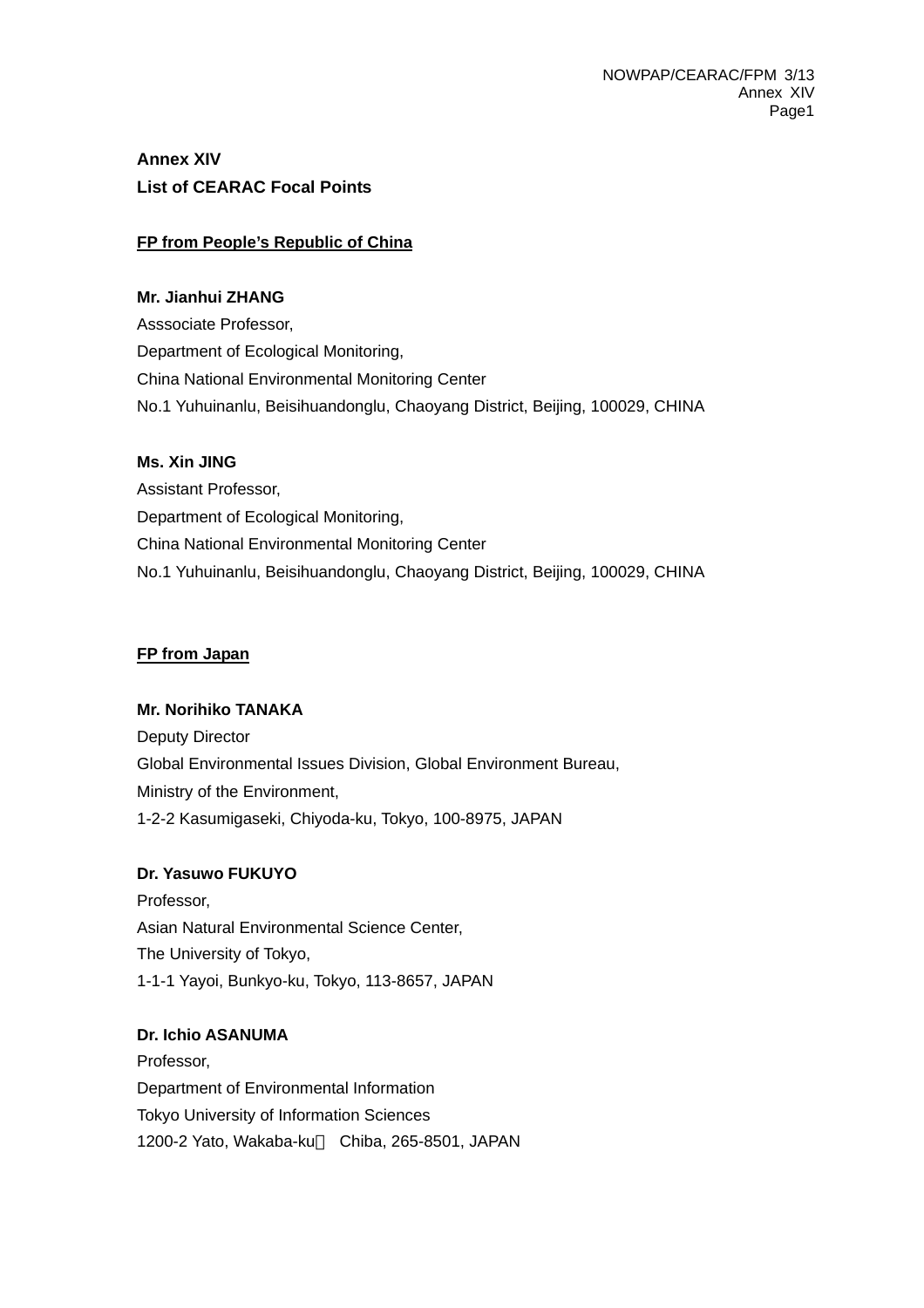# **Annex XIV List of CEARAC Focal Points**

### **FP from People's Republic of China**

#### **Mr. Jianhui ZHANG**

Asssociate Professor, Department of Ecological Monitoring, China National Environmental Monitoring Center No.1 Yuhuinanlu, Beisihuandonglu, Chaoyang District, Beijing, 100029, CHINA

#### **Ms. Xin JING**

Assistant Professor, Department of Ecological Monitoring, China National Environmental Monitoring Center No.1 Yuhuinanlu, Beisihuandonglu, Chaoyang District, Beijing, 100029, CHINA

#### **FP from Japan**

### **Mr. Norihiko TANAKA**

Deputy Director Global Environmental Issues Division, Global Environment Bureau, Ministry of the Environment, 1-2-2 Kasumigaseki, Chiyoda-ku, Tokyo, 100-8975, JAPAN

### **Dr. Yasuwo FUKUYO**

Professor, Asian Natural Environmental Science Center, The University of Tokyo, 1-1-1 Yayoi, Bunkyo-ku, Tokyo, 113-8657, JAPAN

### **Dr. Ichio ASANUMA**

Professor, Department of Environmental Information Tokyo University of Information Sciences 1200-2 Yato, Wakaba-ku Chiba, 265-8501, JAPAN